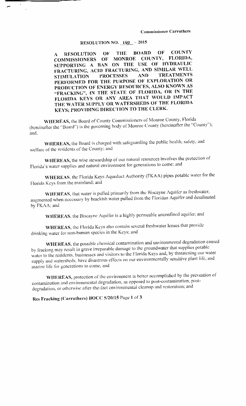## **RESOLUTION NO. 140 - 2015**

OF **COUNTY THE BOARD** OF O **RESOLUTION**  $\Lambda$ COMMISSIONERS OF MONROE COUNTY, FLORIDA, SUPPORTING A BAN ON THE USE OF HYDRAULIC<br>FRACTURING, ACID FRACTURING, AND SIMILAR WELL **TREATMENTS STIMULATION PROCESSES** AND. PERFORMED FOR THE PURPOSE OF EXPLORATION OR PRODUCTION OF ENERGY RESOURCES, ALSO KNOWN AS "FRACKING", IN THE STATE OF FLORIDA, OR IN THE FLORIDA KEYS OR ANY AREA THAT WOULD IMPACT THE WATER SUPPLY OR WATERSHEDS OF THE FLORIDA KEYS; PROVIDING DIRECTION TO THE CLERK.

WHEREAS, the Board of County Commissioners of Monroe County, Florida (hereinafter the "Board") is the governing body of Monroe County (hereinafter the "County"); and.

WHEREAS, the Board is charged with safeguarding the public health, safety, and welfare of the residents of the County; and

WHEREAS, the wise stewardship of our natural resources involves the protection of Florida's water supplies and natural environment for generations to come; and

WHEREAS, the Florida Keys Aqueduct Authority (FKAA) pipes potable water for the Florida Keys from the mainland; and

WHEREAS, that water is pulled primarily from the Biscayne Aquifer as freshwater, augmented when necessary by brackish water pulled from the Floridan Aquifer and desalinated by FKAA; and

WHEREAS, the Biscayne Aquifer is a highly permeable unconfined aquifer; and

WHEREAS, the Florida Keys also contain several freshwater lenses that provide drinking water for non-human species in the Keys; and

WHEREAS, the possible chemical contamination and environmental degradation caused by fracking may result in grave irreparable damage to the groundwater that supplies potable water to the residents, businesses and visitors to the Florida Keys and, by threatening our water supply and watersheds, have disastrous effects on our environmentally sensitive plant life, and marine life for generations to come; and

WHEREAS, protection of the environment is better accomplished by the prevention of contamination and environmental degradation, as opposed to post-contamination, postdegradation, or otherwise after-the-fact environmental cleanup and restoration; and

Res Fracking (Carruthers) BOCC 5/20/15 Page 1 of 3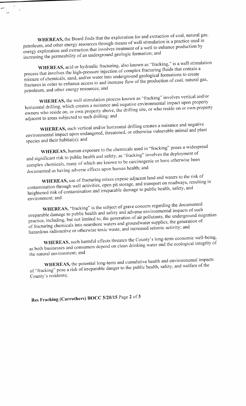WHEREAS, the Board finds that the exploration for and extraction of coal, h means of well stimulation is a practice used in petroleum, and other energy resources through energy exploration and extraction that involves dealized by the community of a well to enhance production and increasing the permeability of an underground geologic formation; and

الأستعدد

WHEREAS, acid or hydraulic fracturing, also known as "fracking," is a well stimulation<br>process that involves the high-pressure injection of complex fracturing fluids that contain a process that involves the high-pressure higher from the property indicate of complex formations to create process that involves the high-pres<br>mixture of chemicals, sand, and/or or water into underground geological formations<br>ess to and increase flow of the production of coa on of coal, natural gas, fractures in order to enhance petroleum, and other energy resources; and

WHEREAS, the well stimulation process known as "fracking" involves vertical and/or horizontal drilling, which creates a nuisance and negative environmental impact apon property<br>owners who reside on, or own property above, the drilling site, or who reside on or own property horizontal drilling, which creates a nuisance and negative environmental impact upon property owners who reside on, or own property adjacent to areas subjected to such drilling; and

WHEREAS, such vertical and/or horizontal drilling creates a nuisance and negative environmental impact upon endangered, threatened, or otherwise vulnerable and plants are plants and plants are species and their habitat same of the material species and their habitat same and their habitat same and their habitat same area.

WHEREAS, human exposure to the chemicals used in "fracking" poses a widespread<br>and significant risk to public health and safety, as "fracking" involves the deployment of and significant risk to public health and safety, as fracking the complete or have otherwise been complex chemicals, many of which are known to be  $\epsilon$ documented as having adverse effects upon human health; and

WHEREAS, use of fracturing mixes expose adjacent land and waters to the risk of contamination through well activities, open pit storage, and transport on roadways, resulting in heightened risk of contamination and irreparable damage to public health, safety, and environment; and

WHEREAS, "fracking" is the subject of grave concern regarding the documented<br>irreparable damage to public health and safety and adverse environmental impacts of such practice, including, but not limited to, the generation of air pollutants, the underground migration practice, including, but not limited to, the generation of air pollutants, the underground imgration<br>of fracturing chemicals into nearshore waters and groundwater supplies, the generation of<br>hazardous radioactive or otherw hazardous radioactive or otherwise toxic waste, and increased seismic activity; and<br>WHEREAS, such harmful effects threaten the County's long-term economic well-being,

as both businesses and consumers depend on clean drinking water and the ecological integrity of the natural environment; and

WHEREAS, the potential long-term and cumulative health and environmental impacts of "fracking" pose a risk of irreparable danger to the public health, safety, and welfare of the County's residents;

Res Fracking (Carruthers) BOCC 5/20/15 Page 2 of 3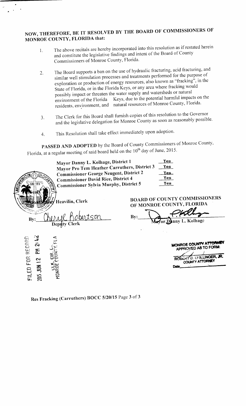## NOW, THEREFORE, BE IT RESOLVED BY THE BOARD OF COMMISSIONERS OF MONROE COUNTY, FLORIDA that:

A

- 1. The above recitals are hereby incorporated into this resolution as if restated herein and constitute the legislative findings and intent of the Board of County Commissioners of Monroe County, Florida.
- 2. The Board supports a ban on the use of hydraulic fracturing, acid fracturing, and similar well stimulation processes and treatments performed for the purpose of exploration or production of energy resources, also known as "fracking", in the State of Florida, or in the Florida Keys, or any area where fracking would possibly impact or threaten the water supply and watersheds or natural<br>environment of the Florida Keys, due to the potential harmful impacts on the environment of the Florida Keys, due to the potential harmful impacts on the residents, environment, and natural resources of Monroe County, Florida.
- 3. The Clerk for this Board shall furnish copies of this resolution to the Governor and the legislative delegation for Monroe County as soon as reasonably possible
- 4. This Resolution shall take effect immediately upon adoption.

PASSED AND ADOPTED by the Board of County Commissioners of Monroe County, Florida, at a regular meeting of said board held on the 10 day of June,  $2015$ .

| <b>PASSED AND ADOPTED</b> by the Board of County Commissioners of Monroe Count<br>Florida, at a regular meeting of said board held on the 10 <sup>th</sup> day of June, 2015.                                                                                                                          |                                                                                                                                        |
|--------------------------------------------------------------------------------------------------------------------------------------------------------------------------------------------------------------------------------------------------------------------------------------------------------|----------------------------------------------------------------------------------------------------------------------------------------|
| Mayor Danny L. Kolhage, District 1<br>Mayor Pro Tem Heather Carruthers, District 3<br><b>Commissioner George Neugent, District 2</b><br><b>Commissioner David Rice, District 4</b><br><b>Commissioner Sylvia Murphy, District 5</b><br>93<br>Heavilin, Clerk<br>tson<br>$\mathbf{By:}$<br>Deputy Clerk | Yes<br>Yes<br>Yes_<br>Yes<br>Yes<br><b>BOARD OF COUNTY COMMISSIONERS</b><br>OF MONROE COUNTY, FLORIDA<br>By:<br>Mayor Dinny L. Kolhage |
| 2:42<br>FILED FOR RECORD<br>$\overline{a}$<br>21 HUS JUN<br><b>HONROL</b>                                                                                                                                                                                                                              | MONROE COUNTY ATTOR<br>APPROVED AS TO FORM:<br>ROBERT D. SHILLINGER, JR.<br>COUNTY ATTORNEY<br>Date                                    |

Res Fracking (Carruthers) BOCC 5/20/15 Page 3 of 3